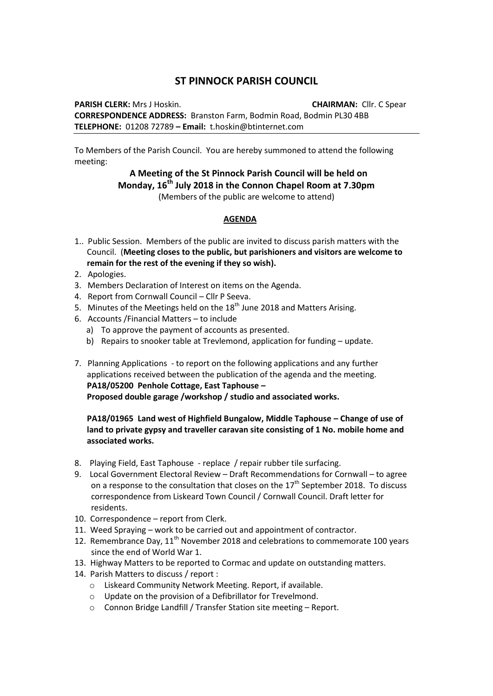## **ST PINNOCK PARISH COUNCIL**

**PARISH CLERK:** Mrs J Hoskin. **CHAIRMAN:** Cllr. C Spear **CORRESPONDENCE ADDRESS:** Branston Farm, Bodmin Road, Bodmin PL30 4BB **TELEPHONE:** 01208 72789 **– Email:** t.hoskin@btinternet.com

To Members of the Parish Council. You are hereby summoned to attend the following meeting:

## **A Meeting of the St Pinnock Parish Council will be held on Monday, 16th July 2018 in the Connon Chapel Room at 7.30pm** (Members of the public are welcome to attend)

## **AGENDA**

- 1.. Public Session. Members of the public are invited to discuss parish matters with the Council. (**Meeting closes to the public, but parishioners and visitors are welcome to remain for the rest of the evening if they so wish).**
- 2. Apologies.
- 3. Members Declaration of Interest on items on the Agenda.
- 4. Report from Cornwall Council Cllr P Seeva.
- 5. Minutes of the Meetings held on the  $18<sup>th</sup>$  June 2018 and Matters Arising.
- 6. Accounts /Financial Matters to include
	- a) To approve the payment of accounts as presented.
	- b) Repairs to snooker table at Trevlemond, application for funding update.
- 7. Planning Applications to report on the following applications and any further applications received between the publication of the agenda and the meeting. **PA18/05200 Penhole Cottage, East Taphouse – Proposed double garage /workshop / studio and associated works.**

## **PA18/01965 Land west of Highfield Bungalow, Middle Taphouse – Change of use of land to private gypsy and traveller caravan site consisting of 1 No. mobile home and associated works.**

- 8. Playing Field, East Taphouse replace / repair rubber tile surfacing.
- 9. Local Government Electoral Review Draft Recommendations for Cornwall to agree on a response to the consultation that closes on the  $17<sup>th</sup>$  September 2018. To discuss correspondence from Liskeard Town Council / Cornwall Council. Draft letter for residents.
- 10. Correspondence report from Clerk.
- 11. Weed Spraying work to be carried out and appointment of contractor.
- 12. Remembrance Day,  $11<sup>th</sup>$  November 2018 and celebrations to commemorate 100 years since the end of World War 1.
- 13. Highway Matters to be reported to Cormac and update on outstanding matters.
- 14. Parish Matters to discuss / report :
	- o Liskeard Community Network Meeting. Report, if available.
	- o Update on the provision of a Defibrillator for Trevelmond.
	- o Connon Bridge Landfill / Transfer Station site meeting Report.